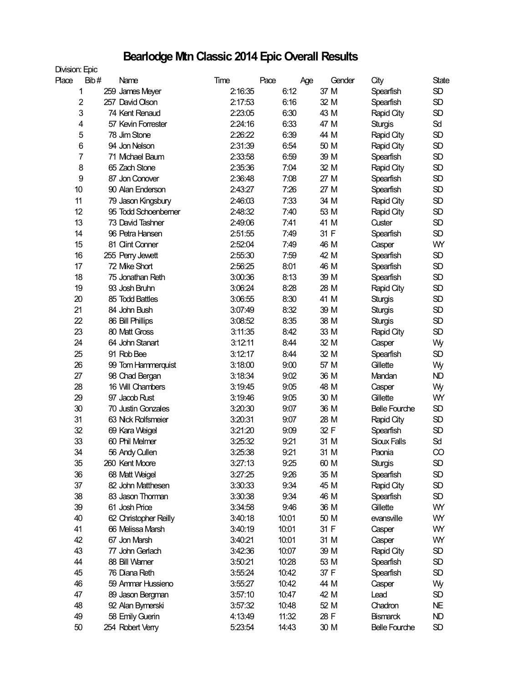## **Bearlodge Mtn Classic 2014 Epic Overall Results**

| Division: Epic |      |                       |         |       |       |        |                      |           |
|----------------|------|-----------------------|---------|-------|-------|--------|----------------------|-----------|
| Place          | Bib# | Name                  | Time    | Pace  | Age   | Gender | City                 | State     |
|                | 1    | 259 James Meyer       | 2:16:35 |       | 6:12  | 37 M   | Spearfish            | <b>SD</b> |
| $\overline{2}$ |      | 257 David Olson       | 2:17:53 |       | 6:16  | 32 M   | Spearfish            | <b>SD</b> |
|                | 3    | 74 Kent Renaud        | 2:23:05 |       | 6:30  | 43 M   | Rapid City           | <b>SD</b> |
| 4              |      | 57 Kevin Forrester    | 2:24:16 |       | 6:33  | 47 M   | <b>Sturgis</b>       | Sd        |
|                | 5    | 78 Jim Stone          | 2:26:22 |       | 6:39  | 44 M   | Rapid City           | <b>SD</b> |
| 6              |      | 94 Jon Nelson         | 2:31:39 |       | 6:54  | 50 M   | Rapid City           | <b>SD</b> |
|                | 7    | 71 Michael Baum       | 2:33:58 |       | 6:59  | 39 M   | Spearfish            | <b>SD</b> |
| 8              |      | 65 Zach Stone         | 2:35:36 |       | 7:04  | 32 M   | Rapid City           | <b>SD</b> |
| 9              |      | 87 Jon Conover        | 2:36:48 |       | 7:08  | 27 M   | Spearfish            | <b>SD</b> |
| 10             |      | 90 Alan Enderson      | 2:43:27 |       | 7:26  | 27 M   | Spearfish            | <b>SD</b> |
| 11             |      | 79 Jason Kingsbury    | 2:46:03 |       | 7:33  | 34 M   | Rapid City           | <b>SD</b> |
| 12             |      | 95 Todd Schoenberner  | 2:48:32 |       | 7:40  | 53 M   | Rapid City           | <b>SD</b> |
| 13             |      | 73 David Tashner      | 2:49:06 |       | 7:41  | 41 M   | Custer               | <b>SD</b> |
| 14             |      | 96 Petra Hansen       | 2:51:55 |       | 7:49  | 31 F   | Spearfish            | <b>SD</b> |
| 15             |      | 81 Clint Conner       | 2:52:04 |       | 7:49  | 46 M   | Casper               | WY        |
| 16             |      | 255 Perry Jewett      | 2:55:30 |       | 7:59  | 42 M   | Spearfish            | <b>SD</b> |
| 17             |      | 72 Mike Short         | 2:56:25 |       | 8:01  | 46 M   | Spearfish            | <b>SD</b> |
| 18             |      | 75 Jonathan Reth      | 3:00:36 |       | 8:13  | 39 M   | Spearfish            | <b>SD</b> |
| 19             |      | 93 Josh Bruhn         | 3:06:24 |       | 8:28  | 28 M   | Rapid City           | <b>SD</b> |
| 20             |      | 85 Todd Battles       | 3:06:55 |       | 8:30  | 41 M   | <b>Sturgis</b>       | <b>SD</b> |
| 21             |      | 84 John Bush          | 3:07:49 |       | 8:32  | 39 M   | <b>Sturgis</b>       | <b>SD</b> |
| 22             |      | 86 Bill Phillips      | 3:08:52 |       | 8:35  | 38 M   |                      | <b>SD</b> |
| 23             |      | 80 Matt Gross         | 3:11:35 |       | 8:42  | 33 M   | <b>Sturgis</b>       | <b>SD</b> |
| 24             |      | 64 John Stanart       | 3:12:11 |       | 8:44  | 32 M   | Rapid City           |           |
|                |      |                       |         |       |       |        | Casper               | Wy        |
| 25             |      | 91 Rob Bee            | 3:12:17 |       | 8:44  | 32 M   | Spearfish            | <b>SD</b> |
| 26             |      | 99 Tom Hammerquist    | 3:18:00 |       | 9:00  | 57 M   | Gillette             | Wy        |
| 27             |      | 98 Chad Bergan        | 3:18:34 |       | 9:02  | 36 M   | Mandan               | <b>ND</b> |
| 28             |      | 16 Will Chambers      | 3:19:45 |       | 9:05  | 48 M   | Casper               | Wy        |
| 29             |      | 97 Jacob Rust         | 3:19:46 |       | 9:05  | 30 M   | Gillette             | WY        |
| 30             |      | 70 Justin Gonzales    | 3:20:30 |       | 9:07  | 36 M   | <b>Belle Fourche</b> | <b>SD</b> |
| 31             |      | 63 Nick Rolfsmeier    | 3:20:31 |       | 9:07  | 28 M   | Rapid City           | <b>SD</b> |
| 32             |      | 69 Kara Weigel        | 3:21:20 |       | 9:09  | 32 F   | Spearfish            | <b>SD</b> |
| 33             |      | 60 Phil Melmer        | 3:25:32 |       | 9:21  | 31 M   | <b>Sioux Falls</b>   | Sd        |
| 34             |      | 56 Andy Cullen        | 3:25:38 |       | 9:21  | 31 M   | Paonia               | $\infty$  |
| 35             |      | 260 Kent Moore        | 3:27:13 |       | 9:25  | 60 M   | <b>Sturgis</b>       | SD        |
| 36             |      | 68 Matt Weigel        | 3:27:25 |       | 9:26  | 35 M   | Spearfish            | SD        |
| 37             |      | 82 John Matthesen     | 3:30:33 |       | 9:34  | 45 M   | Rapid City           | SD        |
| 38             |      | 83 Jason Thorman      | 3:30:38 |       | 9:34  | 46 M   | Spearfish            | SD        |
| 39             |      | 61 Josh Price         | 3:34:58 |       | 9:46  | 36 M   | Gillette             | WY        |
| 40             |      | 62 Christopher Reilly | 3:40:18 | 10:01 |       | 50 M   | evansville           | WY        |
| 41             |      | 66 Melissa Marsh      | 3:40:19 | 10:01 |       | 31 F   | Casper               | WY        |
| 42             |      | 67 Jon Marsh          | 3:40:21 | 10:01 |       | 31 M   | Casper               | WY        |
| 43             |      | 77 John Gerlach       | 3:42:36 | 10:07 |       | 39 M   | Rapid City           | <b>SD</b> |
| 44             |      | 88 Bill Warner        | 3:50:21 | 10:28 |       | 53 M   | Spearfish            | <b>SD</b> |
| 45             |      | 76 Diana Reth         | 3:55:24 |       | 10:42 | 37 F   | Spearfish            | <b>SD</b> |
| 46             |      | 59 Ammar Hussieno     | 3:55:27 | 10:42 |       | 44 M   | Casper               | Wy        |
| 47             |      | 89 Jason Bergman      | 3:57:10 |       | 10:47 | 42 M   | Lead                 | SD        |
| 48             |      | 92 Alan Bymerski      | 3:57:32 | 10:48 |       | 52 M   | Chadron              | NE        |
| 49             |      | 58 Emily Guerin       | 4:13:49 |       | 11:32 | 28 F   | <b>Bismarck</b>      | ND        |
| 50             |      | 254 Robert Verry      | 5:23:54 | 14:43 |       | 30 M   | <b>Belle Fourche</b> | <b>SD</b> |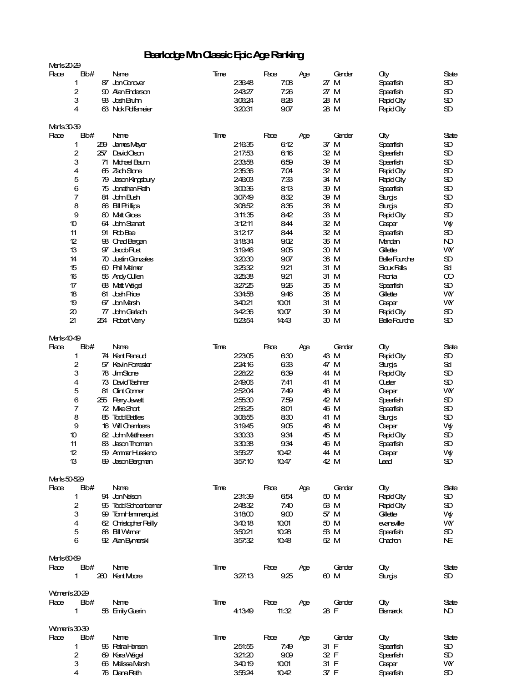### **Bearlodge Mtn Classic Epic Age Ranking**

| Merls20-29  |                         |                       |      |        |       |     |        |                      |              |
|-------------|-------------------------|-----------------------|------|--------|-------|-----|--------|----------------------|--------------|
| Race        | Bb#                     | Name                  | Time |        | Pace  |     | Gender | City                 | State        |
|             | 1                       | 87 JanCanaver         |      | 23648  | 708   | Аge | 27M    |                      | Œ            |
|             |                         |                       |      |        |       |     |        | Speerfish            |              |
|             | 2                       | 90 Alan Enderson      |      | 24327  | 726   |     | 27 M   | Speerfish            | Ð            |
|             | 3                       | 93 Josh Bruhn         |      | 30624  | 828   |     | 28 M   | <b>Rapid City</b>    | Œ            |
|             | 4                       | 63 Nok Polfsmeier     |      | 32031  | 907   |     | 28 M   | <b>Rapid City</b>    | Œ            |
|             |                         |                       |      |        |       |     |        |                      |              |
| Marls30-39  |                         |                       |      |        |       |     |        |                      |              |
| Race        | Bb#                     | Name                  | Time |        | Pace  | Аge | Gender | City                 | State        |
|             | 1                       | 259 James Mayer       |      | 21635  | 612   |     | 37 M   | Speerfish            | Œ            |
|             | 2                       | 257 David Oson        |      | 21753  | 616   |     | 32 M   | Speerfish            | Œ            |
|             | 3                       | 71 Midhael Baum       |      | 23358  | 659   |     | 39 M   | Speerfish            | Œ            |
|             | 4                       | 65 ZachStone          |      | 23536  | 704   |     | 32 M   | <b>Rapid City</b>    | Œ            |
|             | 5                       | 79 Jason Kingsbury    |      | 24603  | 7:33  |     | 34 M   | <b>Rapid City</b>    | Œ            |
|             | 6                       | 75 Jonathan Reth      |      | 30036  | 813   |     | 39 M   | Speerfish            | Œ            |
|             | 7                       | 84 John Bush          |      | 30749  | 832   |     | 39 M   | Sturgis              | Œ            |
|             | 8                       | 86 Bill Phillips      |      | 30852  | 835   |     | 38 M   | Sturgis              | Œ            |
|             | 9                       | 80 Matt Gross         |      | 311:35 | 842   |     | 33 M   | <b>Rapid City</b>    | Œ            |
|             | 10                      | 64 JdmStarat          |      | 31211  | 844   |     | 32 M   | Casper               | Wy           |
|             | 11                      | 91 RobBee             |      | 31217  | 844   |     | 32 M   | Speerfish            | Œ            |
|             | 12                      | 98 ChadBargan         |      | 31834  | 902   |     | 36 M   | Mandan               | ND           |
|             | 13                      | 97 JacobRust          |      | 31946  | 905   |     | 30 M   | Gilette              | <b>VW</b>    |
|             | 14                      | 70 Justin Gonzales    |      | 32030  | 907   |     | 36 M   | <b>Belle</b> Fourche | Œ            |
|             | 15                      | 60 Phil Melmer        |      | 32532  | 921   |     | 31 M   | <b>Sloux Falls</b>   | Sd           |
|             | 16                      | 56 Andy Cullen        |      | 32538  | 921   |     | 31 M   | Paonia               | ത            |
|             | 17                      | 68 Matt Wagel         |      | 32725  | 926   |     | 35 M   | Speerfish            | Œ            |
|             | 18                      | 61 Josh Price         |      | 33458  | 946   |     | 36 M   | Gilette              | <b>VW</b>    |
|             | 19                      | 67 Jan Marsh          |      | 34021  | 1001  |     | 31 M   | Casper               | WY           |
|             | 20                      | 77 John Garlach       |      | 34236  | 1007  |     | 39 M   |                      | Œ            |
|             |                         |                       |      |        |       |     |        | <b>Rapid City</b>    |              |
|             | 21                      | 254 Robert Verry      |      | 52354  | 1443  |     | 30 M   | <b>Belle</b> Fourche | Œ            |
| Marls4049   |                         |                       |      |        |       |     |        |                      |              |
|             | B <sub>b</sub> #        |                       | Time |        | Pace  |     | Gender |                      |              |
| Race        |                         | Name                  |      |        |       | Аge |        | <b>City</b>          | State        |
|             | 1                       | 74 Kert Renaud        |      | 22305  | 630   |     | 43 M   | <b>Rapid City</b>    | Œ            |
|             | 2                       | 57 KevinFarrester     |      | 224:16 | 633   |     | 47 M   | Sturgis              | $\mathbf{S}$ |
|             | 3                       | 78 JimStane           |      | 22622  | 639   |     | 44 M   | <b>Rapid City</b>    | Œ            |
|             | 4                       | 73 DavidTashmer       |      | 24906  | 7:41  |     | 41 M   | Custer               | Œ            |
|             | 5                       | 81 Clint Comer        |      | 25204  | 749   |     | 46 M   | Casper               | WY           |
|             | 6                       | 255 Peny Jewett       |      | 25530  | 759   |     | 42 M   | Speerfish            | Œ            |
|             | 7                       | 72 MkeShat            |      | 25625  | 801   |     | 46 M   | Speerfish            | Œ            |
|             | 8                       | 85 Todd Battles       |      | 30655  | 830   |     | 41 M   | Sturgis              | Œ            |
|             | 9                       | 16 Will Chambers      |      | 31945  | 905   |     | 48 M   | Casper               | Wy           |
|             | 10                      | 82 John Matthesen     |      | 33033  | 934   |     | 45 M   | <b>Rapid City</b>    | Œ            |
|             | 11                      | 83 Jason Thoman       |      | 33038  | 934   |     | 46 M   | Speerfish            | Œ            |
|             | 12                      | 59 Ammar Hussieno     |      | 35527  | 1042  |     | 44 M   | Casper               | Wy           |
|             | 13                      | 89 Jason Bergman      |      | 357.10 | 10.47 |     | 42 M   | Lead                 | Œ            |
|             |                         |                       |      |        |       |     |        |                      |              |
| Merls50-529 |                         |                       |      |        |       |     |        |                      |              |
| Race        | Bb#                     | Name                  | Time |        | Pace  | Ąде | Gender | <b>City</b>          | State        |
|             | 1                       | 94 Jan Nelson         |      | 23139  | 654   |     | 50 M   | <b>Rapid City</b>    | Œ            |
|             | $\overline{\mathbf{c}}$ | 95 ToddSdhoenberner   |      | 24832  | 7.40  |     | 53 M   | <b>Rapid City</b>    | Œ            |
|             | 3                       | 99 TomHammerguist     |      | 31800  | 900   |     | 57 M   | Gilette              | Wy           |
|             | 4                       | 62 Christopher Reilly |      | 34018  | 1001  |     | 50 M   | eansille             | WY           |
|             | 5                       | 88 Bill Warner        |      | 35021  | 1028  |     | 53 M   | Speerfish            | Œ            |
|             | 6                       | 92 Alan Bymerski      |      | 35732  | 1048  |     | 52 M   | Chadron              | NE.          |
|             |                         |                       |      |        |       |     |        |                      |              |
| Merls6069   |                         |                       |      |        |       |     |        |                      |              |
| Race        | Bb#                     | Name                  | Time |        | Pace  | Age | Gender | City                 | State        |
|             | 1                       | 260 KentMore          |      | 327.13 | 925   |     | 60 M   | Sturgis              | Œ.           |
|             |                         |                       |      |        |       |     |        |                      |              |
|             | Women's 20-29           |                       |      |        |       |     |        |                      |              |
| Race        | Bb#                     | Name                  | Time |        | Pace  |     | Gender | <b>City</b>          | State        |
|             |                         |                       |      |        |       | Ąдe |        |                      |              |
|             | $\mathbf{1}$            | 58 Emily Guerin       |      | 41349  | 11.32 |     | 28 F   | <b>Bismarck</b>      | ND.          |
|             |                         |                       |      |        |       |     |        |                      |              |
|             | Women's 30-39           |                       |      |        |       |     |        |                      |              |
| Race        | Bb#                     | Name                  | Time |        | Pace  | Age | Gender | <b>City</b>          | State        |
|             | 1                       | 96 PetraHansen        |      | 251.55 | 7:49  |     | 31 F   | Speerfish            | Œ            |
|             | $\overline{c}$          | 69 Kara Wagel         |      | 321:20 | 909   |     | 32 F   | Speerfish            | Œ            |
|             | 3                       | 66 Melissa Marsh      |      | 34019  | 1001  |     | 31 F   | Casper               | WY           |
|             | 4                       | 76 Diana Reth         |      | 35524  | 1042  |     | 37 F   | Speerfish            | Œ            |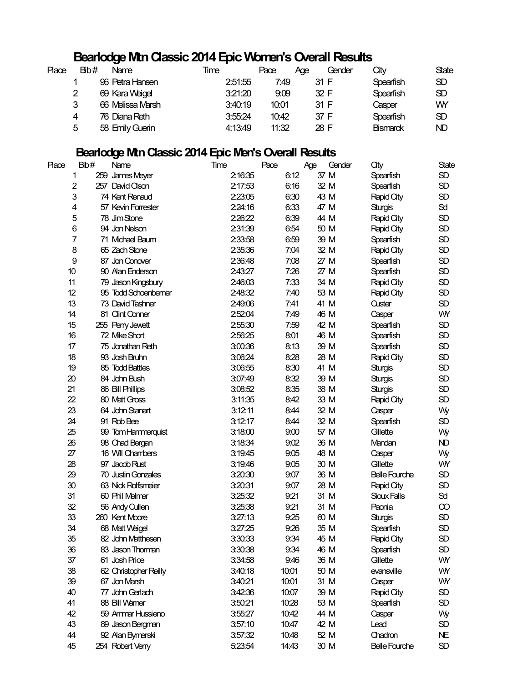### **Bearlodge Mtn Classic 2014 Epic Women's Overall Results**

| Place | Bib# | Name             | Time    | Pace  | Aae  | Gender | Οtν              | <b>State</b> |
|-------|------|------------------|---------|-------|------|--------|------------------|--------------|
|       |      | 96 Petra Hansen  | 2:51:55 | 7:49  | 31 F |        | <b>Spearfish</b> | SD.          |
|       | 2    | 69 Kara Weigel   | 3:21:20 | 9:09  | 32 F |        | Spearfish        | SD           |
|       | 3    | 66 Melissa Marsh | 3:40:19 | 10:01 | 31 F |        | Casper           | WY           |
|       | 4    | 76 Diana Reth    | 3:55.24 | 10:42 | 37 F |        | Spearfish        | SD           |
|       | 5    | 58 Emily Guerin  | 4:13:49 | 11:32 | 28 F |        | <b>Bismarck</b>  | ND           |

### **Bearlodge Mtn Classic 2014 Epic Men's Overall Results**

| <b>Place</b>    | Bib# | Name                  | Time    | Pace  | Age  | Gender | City                 | State       |
|-----------------|------|-----------------------|---------|-------|------|--------|----------------------|-------------|
| 1               | 259  | James Meyer           | 2:16:35 | 6:12  | 37 M |        | Spearfish            | SD          |
| $\overline{c}$  |      | 257 David Olson       | 2:17:53 | 6:16  | 32 M |        | Spearfish            | SD          |
| 3               |      | 74 Kent Renaud        | 2:23:05 | 6.30  | 43 M |        | Rapid City           | SD          |
| 4               |      | 57 Kevin Forrester    | 2:24:16 | 6.33  | 47 M |        | <b>Sturgis</b>       | Sd          |
| 5               |      | 78 Jim Stone          | 2:26:22 | 6.39  | 44 M |        | Rapid City           | SD          |
| 6               |      | 94 Jon Nelson         | 2:31:39 | 6.54  | 50 M |        | Rapid City           | SD          |
| 7               |      | 71 Mchael Baum        | 2:33:58 | 6.59  | 39 M |        | Spearfish            | SD          |
| 8               |      | 65 Zach Stone         | 2:35:36 | 7:04  | 32 M |        | Rapid City           | SD          |
| 9               |      | 87 Jon Conover        | 2:36:48 | 7:08  | 27 M |        | Spearfish            | SD          |
| 10              |      | 90 Alan Enderson      | 2:43:27 | 7:26  | 27 M |        | Spearfish            | SD          |
| 11              |      | 79 Jason Kingsbury    | 2:46:03 | 7:33  | 34 M |        | Rapid City           | SD          |
| 12              |      | 95 Todd Schoenberner  | 2:48:32 | 7:40  | 53 M |        | Rapid City           | $\rm SD$    |
| 13              |      | 73 David Tashner      | 2:49:06 | 7:41  | 41 M |        | Custer               | $\rm SD$    |
| 14              |      | 81 Clint Conner       | 2:52:04 | 7:49  | 46 M |        | Casper               | WY          |
| 15              |      | 255 Perry Jewett      | 2:55:30 | 7:59  | 42 M |        | Spearfish            | SD          |
| 16              |      | 72 Mke Short          | 2:56:25 | 8:01  | 46 M |        | Spearfish            | SD          |
| 17              |      | 75 Jonathan Reth      | 3:00:36 | 8:13  | 39 M |        | Spearfish            | SD          |
| 18              |      | 93 Josh Bruhn         | 3:06:24 | 8:28  | 28 M |        | Rapid City           | SD          |
| 19              |      | 85 Todd Battles       | 3:06:55 | 8:30  | 41 M |        | <b>Sturgis</b>       | SD          |
| 20              |      | 84 John Bush          | 3:07:49 | 8:32  | 39 M |        | <b>Sturgis</b>       | SD          |
| 21              |      | 86 Bill Phillips      | 3:08:52 | 8:35  | 38 M |        | <b>Sturgis</b>       | SD          |
| $\overline{22}$ |      | 80 Matt Gross         | 3:11:35 | 8:42  | 33 M |        | Rapid City           | SD          |
| 23              |      | 64 John Stanart       | 3:12:11 | 8:44  | 32 M |        | Casper               | Wy          |
| 24              |      | 91 Rob Bee            | 3:12:17 | 8:44  | 32 M |        | Spearfish            | SD          |
| 25              |      | 99 Tom Hammerquist    | 3:18:00 | 9.00  | 57 M |        | Gilette              | Wy          |
| 26              |      | 98 Chad Bergan        | 3:18:34 | 9.02  | 36 M |        | Mandan               | ND          |
| 27              |      | 16 Will Chambers      | 3:19:45 | 9.05  | 48 M |        | Casper               | Wy          |
| 28              |      | 97 Jacob Rust         | 3:19:46 | 9.05  | 30 M |        | Gilette              | WY          |
| 29              |      | 70 Justin Gonzales    | 3:20:30 | 9.07  | 36 M |        | <b>Belle Fourche</b> | SD          |
| 30              |      | 63 Nick Rolfsmeier    | 3:20:31 | 9.07  | 28 M |        | Rapid City           | SD          |
| 31              |      | 60 Phil Melmer        | 3:25:32 | 9.21  | 31 M |        | Sioux Falls          | Sd          |
| 32              |      | 56 Andy Cullen        | 3:25:38 | 9.21  | 31 M |        | Paonia               | ထ           |
| 33              |      | 260 Kent Moore        | 3:27:13 | 9.25  | 60 M |        | <b>Sturgis</b>       | SD          |
| 34              |      | 68 Matt Weigel        | 3:27:25 | 9.26  | 35 M |        | Spearfish            | $\rm SD$    |
| 35              |      | 82 John Matthesen     | 3:30:33 | 9.34  | 45 M |        | Rapid City           | SD          |
| 36              |      | 83 Jason Thoman       | 3:30:38 | 9.34  | 46 M |        | Spearfish            | SD          |
| 37              |      | 61 Josh Price         | 3:34:58 | 9:46  | 36 M |        | Gilette              | WY          |
| 38              |      | 62 Christopher Reilly | 3:40:18 | 10:01 | 50 M |        | evansville           | WY          |
| 39              |      | 67 Jon Marsh          | 3:40:21 | 10:01 | 31 M |        | Casper               | WY          |
| 40              |      | 77 John Gerlach       | 3:42:36 | 10:07 | 39 M |        |                      | SD          |
|                 |      |                       |         |       |      |        | Rapid City           |             |
| 41              |      | 88 Bill Warner        | 3:50:21 | 10:28 | 53 M |        | Spearfish            | $\rm SD$    |
| 42              |      | 59 Ammar Hussieno     | 3:55:27 | 10:42 | 44 M |        | Casper               | Wy          |
| 43              |      | 89 Jason Bergman      | 3:57:10 | 10:47 | 42 M |        | Lead                 | $_{\rm SD}$ |
| 44              |      | 92 Alan Bymerski      | 3:57:32 | 10:48 | 52 M |        | Chadron              | NE          |
| 45              |      | 254 Robert Verry      | 5:23:54 | 14:43 | 30 M |        | <b>Belle Fourche</b> | SD          |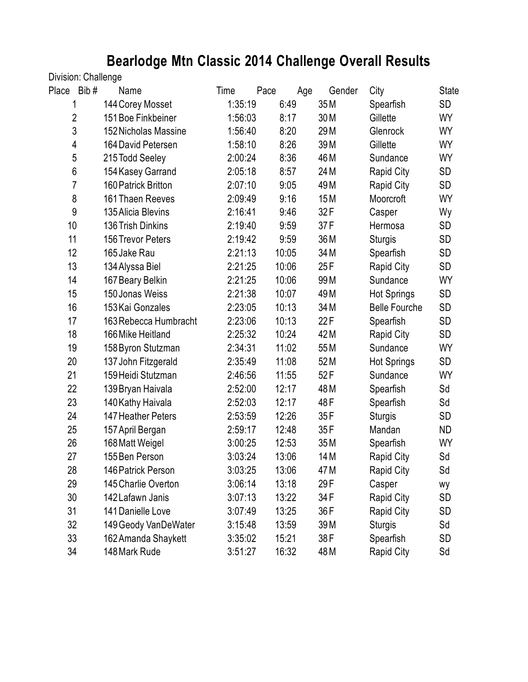# **Bearlodge Mtn Classic 2014 Challenge Overall Results**

### Division: Challenge

| Place<br>Bib#  | Name                        | Time    | Pace<br>Age | Gender | City                 | <b>State</b> |
|----------------|-----------------------------|---------|-------------|--------|----------------------|--------------|
| 1              | 144 Corey Mosset            | 1:35:19 | 6:49        | 35 M   | Spearfish            | SD           |
| $\overline{2}$ | 151 Boe Finkbeiner          | 1:56:03 | 8:17        | 30 M   | Gillette             | <b>WY</b>    |
| 3              | <b>152 Nicholas Massine</b> | 1:56:40 | 8:20        | 29 M   | Glenrock             | WY           |
| 4              | 164 David Petersen          | 1:58:10 | 8:26        | 39 M   | Gillette             | <b>WY</b>    |
| 5              | 215 Todd Seeley             | 2:00:24 | 8:36        | 46 M   | Sundance             | <b>WY</b>    |
| $6\,$          | 154 Kasey Garrand           | 2:05:18 | 8:57        | 24 M   | <b>Rapid City</b>    | <b>SD</b>    |
| 7              | 160 Patrick Britton         | 2:07:10 | 9:05        | 49 M   | Rapid City           | SD           |
| 8              | 161 Thaen Reeves            | 2:09:49 | 9:16        | 15M    | Moorcroft            | WY           |
| 9              | 135 Alicia Blevins          | 2:16:41 | 9:46        | 32F    | Casper               | Wy           |
| 10             | 136 Trish Dinkins           | 2:19:40 | 9:59        | 37F    | Hermosa              | SD           |
| 11             | 156 Trevor Peters           | 2:19:42 | 9:59        | 36 M   | <b>Sturgis</b>       | SD           |
| 12             | 165 Jake Rau                | 2:21:13 | 10:05       | 34 M   | Spearfish            | SD           |
| 13             | 134 Alyssa Biel             | 2:21:25 | 10:06       | 25F    | <b>Rapid City</b>    | SD           |
| 14             | 167 Beary Belkin            | 2:21:25 | 10:06       | 99 M   | Sundance             | WY           |
| 15             | 150 Jonas Weiss             | 2:21:38 | 10:07       | 49 M   | <b>Hot Springs</b>   | SD           |
| 16             | 153 Kai Gonzales            | 2:23:05 | 10:13       | 34 M   | <b>Belle Fourche</b> | SD           |
| 17             | 163 Rebecca Humbracht       | 2:23:06 | 10:13       | 22F    | Spearfish            | SD           |
| 18             | 166 Mike Heitland           | 2:25:32 | 10:24       | 42 M   | <b>Rapid City</b>    | SD           |
| 19             | 158 Byron Stutzman          | 2:34:31 | 11:02       | 55 M   | Sundance             | WY           |
| 20             | 137 John Fitzgerald         | 2:35:49 | 11:08       | 52 M   | <b>Hot Springs</b>   | SD           |
| 21             | 159 Heidi Stutzman          | 2:46:56 | 11:55       | 52F    | Sundance             | WY           |
| 22             | 139 Bryan Haivala           | 2:52:00 | 12:17       | 48 M   | Spearfish            | Sd           |
| 23             | 140 Kathy Haivala           | 2:52:03 | 12:17       | 48F    | Spearfish            | Sd           |
| 24             | 147 Heather Peters          | 2:53:59 | 12:26       | 35F    | <b>Sturgis</b>       | SD           |
| 25             | 157 April Bergan            | 2:59:17 | 12:48       | 35F    | Mandan               | <b>ND</b>    |
| 26             | 168 Matt Weigel             | 3:00:25 | 12:53       | 35 M   | Spearfish            | WY           |
| 27             | 155 Ben Person              | 3:03:24 | 13:06       | 14 M   | <b>Rapid City</b>    | Sd           |
| 28             | 146 Patrick Person          | 3:03:25 | 13:06       | 47 M   | Rapid City           | Sd           |
| 29             | 145 Charlie Overton         | 3:06:14 | 13:18       | 29F    | Casper               | wy           |
| 30             | 142 Lafawn Janis            | 3:07:13 | 13:22       | 34 F   | <b>Rapid City</b>    | SD           |
| 31             | 141 Danielle Love           | 3:07:49 | 13:25       | 36 F   | <b>Rapid City</b>    | SD           |
| 32             | 149 Geody VanDeWater        | 3:15:48 | 13:59       | 39 M   | <b>Sturgis</b>       | Sd           |
| 33             | 162 Amanda Shaykett         | 3:35:02 | 15:21       | 38 F   | Spearfish            | SD           |
| 34             | 148 Mark Rude               | 3:51:27 | 16:32       | 48 M   | <b>Rapid City</b>    | Sd           |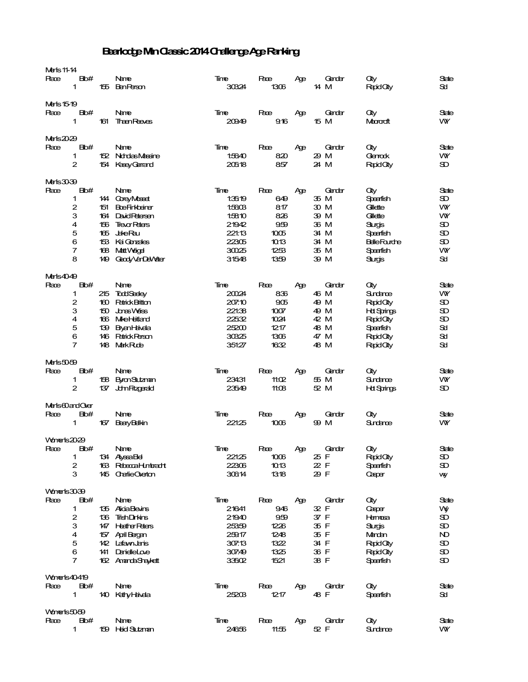#### Bearlodge Min Classic 2014 Challenge Age Ranking

| <b>Meris 11-14</b>  |                |     |                        |        |       |     |        |                     |           |
|---------------------|----------------|-----|------------------------|--------|-------|-----|--------|---------------------|-----------|
| Race                | Bb#            |     | Name                   | Time   | Pace  | Ąде | Gender | City                | State     |
|                     | 1              |     | 155 BenPerson          | 30324  | 1306  |     | 14 M   | <b>Rapid City</b>   | Sci       |
|                     |                |     |                        |        |       |     |        |                     |           |
| Marts 15-19         |                |     |                        |        |       |     |        |                     |           |
| Race                | Bb#            |     | Name                   | Time   | Pace  | Age | Gender | Оtу                 | State     |
|                     | 1              | 161 | <b>Then Reads</b>      | 20949  | 916   |     | 15 M   | Macrocoft           | VW.       |
|                     |                |     |                        |        |       |     |        |                     |           |
|                     |                |     |                        |        |       |     |        |                     |           |
| Merls20-29          |                |     |                        |        |       |     |        |                     |           |
| Race                | Bb#            |     | Name                   | Time   | Pace  | Age | Gender | City                | State     |
|                     | 1              |     | 152 Nordas Massine     | 1:5640 | 820   |     | 29 M   | Glenrack            | <b>VW</b> |
|                     | $\mathbf{2}$   | 154 | KaseyGarrand           | 20518  | 857   |     | 24 M   | <b>Rapid City</b>   | Œ         |
|                     |                |     |                        |        |       |     |        |                     |           |
| Merls3039           |                |     |                        |        |       |     |        |                     |           |
|                     | Bb#            |     |                        |        |       |     |        |                     |           |
| Race                |                |     | Name                   | Timee  | Pace  | Age | Gender | Оtу                 | State     |
|                     | 1              |     | 144 CoreyMosed         | 1:3519 | 649   |     | 35 M   | Speerfish           | Œ         |
|                     | 2              | 151 | <b>BoeFinkbarer</b>    | 1:5603 | 817   |     | 30 M   | Gilette             | WY        |
|                     | 3              |     | 164 David Retersen     | 1:5810 | 826   |     | 39 M   | Gilette             | WY        |
|                     | 4              | 156 | <b>Trevar Peters</b>   | 21942  | 959   |     | 36 M   | <b>Surgis</b>       | Œ         |
|                     | 5              |     | 165 Jake Rau           | 221:13 | 1005  |     | 34 M   | Speerfish           | Œ         |
|                     | 6              |     | 153 Kai Ganzales       | 22305  | 1013  |     | 34 M   | <b>BalleFourdre</b> | Œ         |
|                     | 7              | 168 | <b>Matt Veigel</b>     | 30025  | 1253  |     | 35 M   | Speerfish           | WY        |
|                     |                |     |                        |        |       |     |        |                     |           |
|                     | 8              | 149 | Geody Van Del Veter    | 31548  | 1359  |     | 39 M   | Slurgis             | Sd.       |
|                     |                |     |                        |        |       |     |        |                     |           |
| Merts4049           |                |     |                        |        |       |     |        |                     |           |
| Race                | Bb#            |     | Name                   | Time   | Pace  | Age | Gender | Оùу                 | State     |
|                     | 1              | 215 | <b>TaddSeeky</b>       | 20024  | 836   |     | 46 M   | Sundance            | WY        |
|                     | 2              | 160 | <b>Patrick Britton</b> | 207.10 | 905   |     | 49 M   | Rapid Oly           | D         |
|                     | 3              |     | 150 Jones Weiss        | 221:38 | 1007  |     | 49 M   | <b>Htt Springs</b>  | D         |
|                     |                |     |                        |        |       |     |        |                     |           |
|                     | 4              |     | 166 Mike Hetland       | 22532  | 1024  |     | 42 M   | <b>Rapid City</b>   | Œ         |
|                     | 5              | 139 | <b>Byan Haxda</b>      | 25200  | 1217  |     | 48 M   | Speerfish           | 5d        |
|                     | 6              |     | 146 Patrick Person     | 30325  | 1306  |     | 47 M   | <b>Rapid City</b>   | 5d        |
|                     | $\overline{7}$ |     | 148 MarkRube           | 351:27 | 1632  |     | 48 M   | <b>Rapid City</b>   | Sd        |
|                     |                |     |                        |        |       |     |        |                     |           |
| Meris5059           |                |     |                        |        |       |     |        |                     |           |
| Race                | Bb#            |     | Name                   | Time   | Pace  | Age | Gender | Оtу                 | State     |
|                     | 1              |     |                        | 23431  | 11:02 |     | 55 M   | Sundance            | <b>VW</b> |
|                     |                | 158 | <b>Byron Stuberan</b>  |        |       |     |        |                     |           |
|                     | 2              |     | 137 John Fitzgarald    | 23549  | 11:08 |     | 52 M   | <b>Htt Springs</b>  | Œ.        |
|                     |                |     |                        |        |       |     |        |                     |           |
| Merls60andQer       |                |     |                        |        |       |     |        |                     |           |
| Race                | Bb#            |     | Name                   | Timee  | Pace  | Age | Gender | Оtу                 | State     |
|                     | 1              | 167 | <b>BeayBelkin</b>      | 221:25 | 1006  |     | 99 M   | Sundance            | VW.       |
|                     |                |     |                        |        |       |     |        |                     |           |
| Volumerts 2029      |                |     |                        |        |       |     |        |                     |           |
|                     |                |     |                        |        |       |     |        |                     |           |
| Race                | Bb#            |     | Name                   | Time   | Pace  | Age | Gender | City                | State     |
|                     | 1              |     | 134 Alyssa Ble         | 221:25 | 1006  |     | 25 F   | <b>Rapid City</b>   | SD.       |
|                     | $\mathbf{2}$   |     | 163 Rebeccal-Unbracht  | 22306  | 1013  |     | 22 F   | Speerfish           | Œ         |
|                     | З              |     | 145 CharlieQuation     | 30614  | 1318  |     | 29 F   | Casper              | wy        |
|                     |                |     |                        |        |       |     |        |                     |           |
| Volumerlis 30-39    |                |     |                        |        |       |     |        |                     |           |
|                     |                |     |                        |        |       |     |        |                     |           |
| Race                | Bb#            |     | Name                   | Timee  | Pace  | Age | Gender | <b>City</b>         | State     |
|                     | 1              |     | 135 Alicia Blevins     | 21641  | 946   |     | 32 F   | Casper              | ۷ý        |
|                     | $\mathbf 2$    |     | 136 TrishDinkins       | 21940  | 959   |     | 37 F   | Hermosa             | Œ         |
|                     | 3              |     | 147 Heather Peters     | 25359  | 1226  |     | 35 F   | <b>Surgs</b>        | Œ         |
|                     | 4              |     | 157 April Bergen       | 25917  | 1248  |     | 35 F   | Mandan              | ND.       |
|                     | 5              |     | 142 LafavnJanis        | 307.13 | 1322  |     | 34 F   | <b>Rapid City</b>   | SD.       |
|                     | 6              |     | 141 DarielleLove       | 30749  | 1325  |     | 36 F   | <b>Rapid City</b>   | Œ         |
|                     | $\overline{7}$ |     |                        |        |       |     | 38 F   |                     | Œ         |
|                     |                |     | 162 Amanda Shaykett    | 33502  | 1521  |     |        | Speerfish           |           |
|                     |                |     |                        |        |       |     |        |                     |           |
| <b>Vonerls40419</b> |                |     |                        |        |       |     |        |                     |           |
| Race                | Bb#            |     | Name                   | Time   | Pace  | Ąде | Gender | City                | State     |
|                     | 1              |     | 140 Kathy Havela       | 25203  | 1217  |     | 48 F   | Speerfish           | Scol      |
|                     |                |     |                        |        |       |     |        |                     |           |
| Volumerls: 50-59    |                |     |                        |        |       |     |        |                     |           |
| Race                | Bb#            |     | Name                   | Time   | Pace  | Age | Gender | Оtу                 | State     |
|                     | 1              |     |                        |        |       |     | 52 F   |                     |           |
|                     |                |     | 159 Haid Stutzman      | 24656  | 11:55 |     |        | Surdance            | VW.       |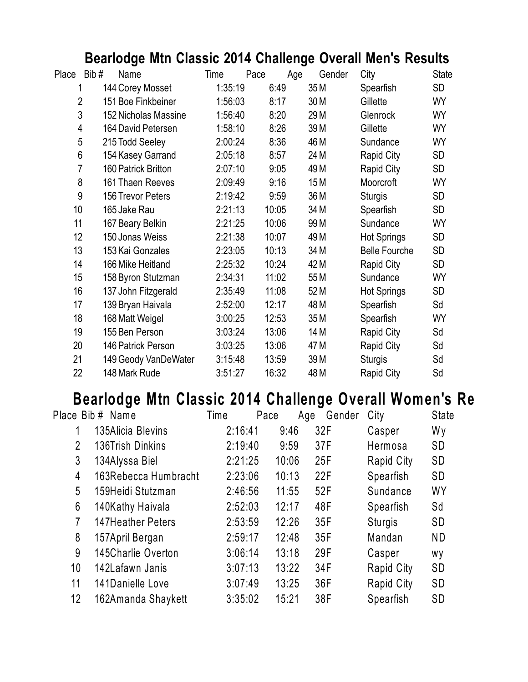# **Bearlodge Mtn Classic 2014 Challenge Overall Men's Results**

| Place          | Bib# | Name                 | Time    | Pace  | Age             | Gender<br>City       | <b>State</b> |
|----------------|------|----------------------|---------|-------|-----------------|----------------------|--------------|
| 1              |      | 144 Corey Mosset     | 1:35:19 | 6:49  | 35 M            | Spearfish            | <b>SD</b>    |
| $\overline{2}$ |      | 151 Boe Finkbeiner   | 1:56:03 | 8:17  | 30 M            | Gillette             | <b>WY</b>    |
| 3              |      | 152 Nicholas Massine | 1:56:40 | 8:20  | 29 M            | Glenrock             | <b>WY</b>    |
| 4              |      | 164 David Petersen   | 1:58:10 | 8:26  | 39 M            | Gillette             | WY           |
| 5              |      | 215 Todd Seeley      | 2:00:24 | 8:36  | 46 M            | Sundance             | <b>WY</b>    |
| 6              |      | 154 Kasey Garrand    | 2:05:18 | 8:57  | 24 M            | <b>Rapid City</b>    | <b>SD</b>    |
| 7              |      | 160 Patrick Britton  | 2:07:10 | 9:05  | 49 <sub>M</sub> | <b>Rapid City</b>    | SD           |
| 8              |      | 161 Thaen Reeves     | 2:09:49 | 9:16  | 15 <sub>M</sub> | Moorcroft            | WY           |
| 9              |      | 156 Trevor Peters    | 2:19:42 | 9:59  | 36 M            | <b>Sturgis</b>       | <b>SD</b>    |
| 10             |      | 165 Jake Rau         | 2:21:13 | 10:05 | 34 M            | Spearfish            | <b>SD</b>    |
| 11             |      | 167 Beary Belkin     | 2:21:25 | 10:06 | 99 M            | Sundance             | WY           |
| 12             |      | 150 Jonas Weiss      | 2:21:38 | 10:07 | 49 M            | <b>Hot Springs</b>   | <b>SD</b>    |
| 13             |      | 153 Kai Gonzales     | 2:23:05 | 10:13 | 34 M            | <b>Belle Fourche</b> | <b>SD</b>    |
| 14             |      | 166 Mike Heitland    | 2:25:32 | 10:24 | 42 M            | <b>Rapid City</b>    | <b>SD</b>    |
| 15             |      | 158 Byron Stutzman   | 2:34:31 | 11:02 | 55 M            | Sundance             | WY           |
| 16             |      | 137 John Fitzgerald  | 2:35:49 | 11:08 | 52 M            | <b>Hot Springs</b>   | <b>SD</b>    |
| 17             |      | 139 Bryan Haivala    | 2:52:00 | 12:17 | 48 M            | Spearfish            | Sd           |
| 18             |      | 168 Matt Weigel      | 3:00:25 | 12:53 | 35 M            | Spearfish            | WY           |
| 19             |      | 155 Ben Person       | 3:03:24 | 13:06 | 14 M            | Rapid City           | Sd           |
| 20             |      | 146 Patrick Person   | 3:03:25 | 13:06 | 47 M            | <b>Rapid City</b>    | Sd           |
| 21             |      | 149 Geody VanDeWater | 3:15:48 | 13:59 | 39 M            | <b>Sturgis</b>       | Sd           |
| 22             |      | 148 Mark Rude        | 3:51:27 | 16:32 | 48 M            | <b>Rapid City</b>    | Sd           |

# **Bearlodge Mtn Classic 2014 Challenge Overall Women's Re**

|                 | Place Bib# Name      | Time    | Pace  | Gender<br>Age | City           | <b>State</b> |
|-----------------|----------------------|---------|-------|---------------|----------------|--------------|
|                 | 135Alicia Blevins    | 2:16:41 | 9:46  | 32F           | Casper         | Wy           |
| 2               | 136Trish Dinkins     | 2:19:40 | 9:59  | 37F           | Hermosa        | <b>SD</b>    |
| 3               | 134Alyssa Biel       | 2:21:25 | 10:06 | 25F           | Rapid City     | <b>SD</b>    |
| 4               | 163Rebecca Humbracht | 2:23:06 | 10:13 | 22F           | Spearfish      | <b>SD</b>    |
| 5               | 159Heidi Stutzman    | 2:46:56 | 11:55 | 52F           | Sundance       | WY           |
| 6               | 140Kathy Haivala     | 2:52:03 | 12:17 | 48F           | Spearfish      | Sd           |
| 7               | 147Heather Peters    | 2:53:59 | 12:26 | 35F           | <b>Sturgis</b> | <b>SD</b>    |
| 8               | 157April Bergan      | 2:59:17 | 12:48 | 35F           | Mandan         | <b>ND</b>    |
| 9               | 145Charlie Overton   | 3:06:14 | 13:18 | 29F           | Casper         | Wy           |
| 10 <sup>°</sup> | 142Lafawn Janis      | 3:07:13 | 13:22 | 34F           | Rapid City     | <b>SD</b>    |
| 11              | 141Danielle Love     | 3:07:49 | 13:25 | 36F           | Rapid City     | <b>SD</b>    |
| 12              | 162Amanda Shaykett   | 3:35:02 | 15:21 | 38F           | Spearfish      | <b>SD</b>    |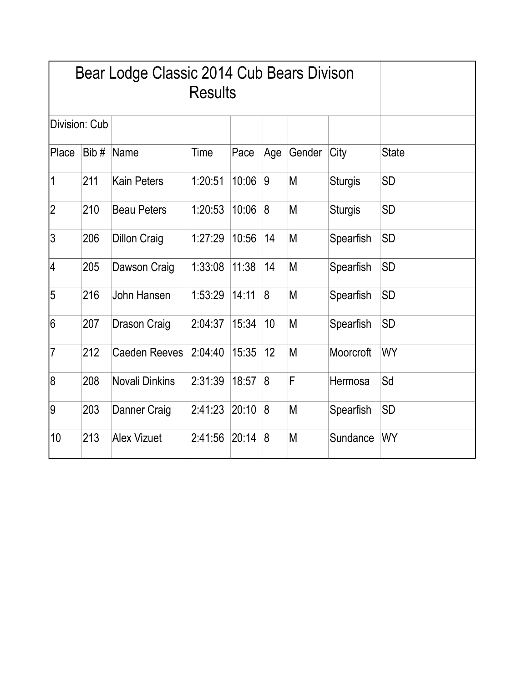|                | Bear Lodge Classic 2014 Cub Bears Divison |                       |         |       |                  |        |                |              |
|----------------|-------------------------------------------|-----------------------|---------|-------|------------------|--------|----------------|--------------|
|                | Division: Cub                             |                       |         |       |                  |        |                |              |
| <b>Place</b>   | Bib#                                      | Name                  | Time    | Pace  | Age              | Gender | City           | <b>State</b> |
| 1              | 211                                       | <b>Kain Peters</b>    | 1:20:51 | 10:06 | $\overline{9}$   | M      | <b>Sturgis</b> | <b>SD</b>    |
| 2              | 210                                       | <b>Beau Peters</b>    | 1:20:53 | 10:06 | $\delta$         | M      | <b>Sturgis</b> | <b>SD</b>    |
| 3              | 206                                       | <b>Dillon Craig</b>   | 1:27:29 | 10:56 | 14               | M      | Spearfish      | <b>SD</b>    |
| 4              | 205                                       | Dawson Craig          | 1:33:08 | 11:38 | 14               | M      | Spearfish      | <b>SD</b>    |
| 5              | 216                                       | John Hansen           | 1:53:29 | 14:11 | $\boldsymbol{8}$ | M      | Spearfish      | <b>SD</b>    |
| 16             | 207                                       | Drason Craig          | 2:04:37 | 15:34 | 10               | M      | Spearfish      | <b>SD</b>    |
| $\overline{7}$ | 212                                       | <b>Caeden Reeves</b>  | 2:04:40 | 15:35 | 12               | M      | Moorcroft      | WY           |
| 8              | 208                                       | <b>Novali Dinkins</b> | 2:31:39 | 18:57 | $\overline{8}$   | F      | Hermosa        | Sd           |
| 9              | 203                                       | Danner Craig          | 2:41:23 | 20:10 | $\delta$         | M      | Spearfish      | <b>SD</b>    |
| 10             | 213                                       | <b>Alex Vizuet</b>    | 2:41:56 | 20:14 | $\sqrt{8}$       | M      | Sundance       | WY           |